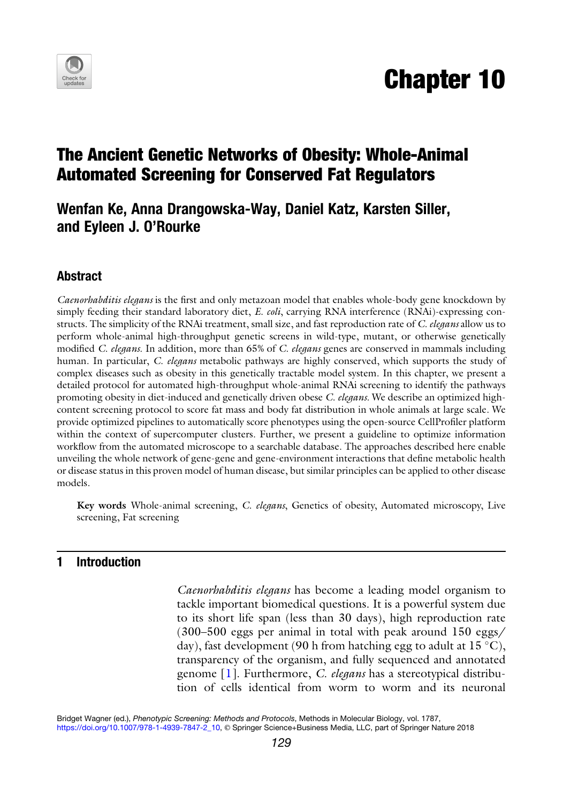

# The Ancient Genetic Networks of Obesity: Whole-Animal Automated Screening for Conserved Fat Regulators

## Wenfan Ke, Anna Drangowska-Way, Daniel Katz, Karsten Siller, and Eyleen J. O'Rourke

### Abstract

Caenorhabditis elegans is the first and only metazoan model that enables whole-body gene knockdown by simply feeding their standard laboratory diet, E. coli, carrying RNA interference (RNAi)-expressing constructs. The simplicity of the RNAi treatment, small size, and fast reproduction rate of C. elegans allow us to perform whole-animal high-throughput genetic screens in wild-type, mutant, or otherwise genetically modified C. elegans. In addition, more than 65% of C. elegans genes are conserved in mammals including human. In particular, C. elegans metabolic pathways are highly conserved, which supports the study of complex diseases such as obesity in this genetically tractable model system. In this chapter, we present a detailed protocol for automated high-throughput whole-animal RNAi screening to identify the pathways promoting obesity in diet-induced and genetically driven obese C. elegans. We describe an optimized highcontent screening protocol to score fat mass and body fat distribution in whole animals at large scale. We provide optimized pipelines to automatically score phenotypes using the open-source CellProfiler platform within the context of supercomputer clusters. Further, we present a guideline to optimize information workflow from the automated microscope to a searchable database. The approaches described here enable unveiling the whole network of gene-gene and gene-environment interactions that define metabolic health or disease status in this proven model of human disease, but similar principles can be applied to other disease models.

Key words Whole-animal screening, C. elegans, Genetics of obesity, Automated microscopy, Live screening, Fat screening

## 1 Introduction

Caenorhabditis elegans has become a leading model organism to tackle important biomedical questions. It is a powerful system due to its short life span (less than 30 days), high reproduction rate (300–500 eggs per animal in total with peak around 150 eggs/ day), fast development (90 h from hatching egg to adult at  $15 \degree C$ ), transparency of the organism, and fully sequenced and annotated genome [1]. Furthermore, C. elegans has a stereotypical distribution of cells identical from worm to worm and its neuronal

Bridget Wagner (ed.), Phenotypic Screening: Methods and Protocols, Methods in Molecular Biology, vol. 1787, https://doi.org/10.1007/978-1-4939-7847-2\_10, © Springer Science+Business Media, LLC, part of Springer Nature 2018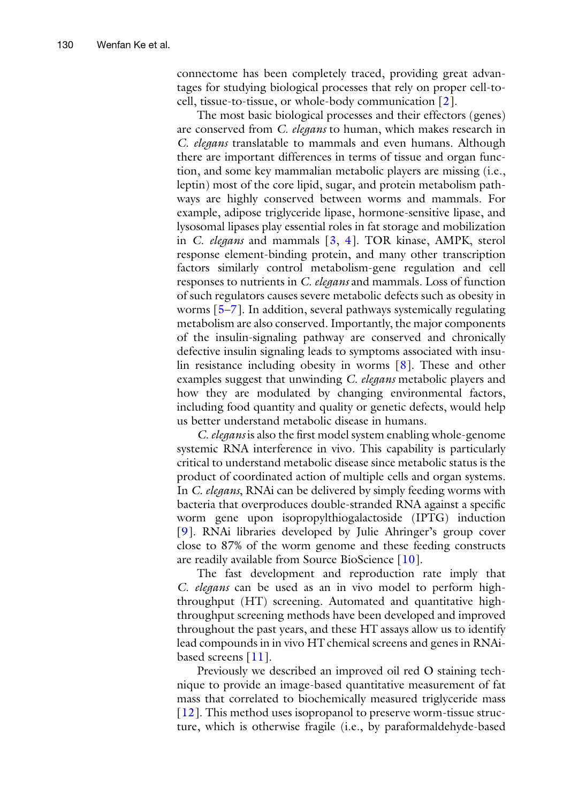connectome has been completely traced, providing great advantages for studying biological processes that rely on proper cell-tocell, tissue-to-tissue, or whole-body communication [2].

The most basic biological processes and their effectors (genes) are conserved from C. elegans to human, which makes research in C. elegans translatable to mammals and even humans. Although there are important differences in terms of tissue and organ function, and some key mammalian metabolic players are missing (i.e., leptin) most of the core lipid, sugar, and protein metabolism pathways are highly conserved between worms and mammals. For example, adipose triglyceride lipase, hormone-sensitive lipase, and lysosomal lipases play essential roles in fat storage and mobilization in C. elegans and mammals [3, 4]. TOR kinase, AMPK, sterol response element-binding protein, and many other transcription factors similarly control metabolism-gene regulation and cell responses to nutrients in *C. elegans* and mammals. Loss of function of such regulators causes severe metabolic defects such as obesity in worms [5–7]. In addition, several pathways systemically regulating metabolism are also conserved. Importantly, the major components of the insulin-signaling pathway are conserved and chronically defective insulin signaling leads to symptoms associated with insulin resistance including obesity in worms [8]. These and other examples suggest that unwinding *C. elegans* metabolic players and how they are modulated by changing environmental factors, including food quantity and quality or genetic defects, would help us better understand metabolic disease in humans.

C. elegans is also the first model system enabling whole-genome systemic RNA interference in vivo. This capability is particularly critical to understand metabolic disease since metabolic status is the product of coordinated action of multiple cells and organ systems. In C. elegans, RNAi can be delivered by simply feeding worms with bacteria that overproduces double-stranded RNA against a specific worm gene upon isopropylthiogalactoside (IPTG) induction [9]. RNAi libraries developed by Julie Ahringer's group cover close to 87% of the worm genome and these feeding constructs are readily available from Source BioScience [10].

The fast development and reproduction rate imply that C. elegans can be used as an in vivo model to perform highthroughput (HT) screening. Automated and quantitative highthroughput screening methods have been developed and improved throughout the past years, and these HT assays allow us to identify lead compounds in in vivo HT chemical screens and genes in RNAibased screens [11].

Previously we described an improved oil red O staining technique to provide an image-based quantitative measurement of fat mass that correlated to biochemically measured triglyceride mass [12]. This method uses isopropanol to preserve worm-tissue structure, which is otherwise fragile (i.e., by paraformaldehyde-based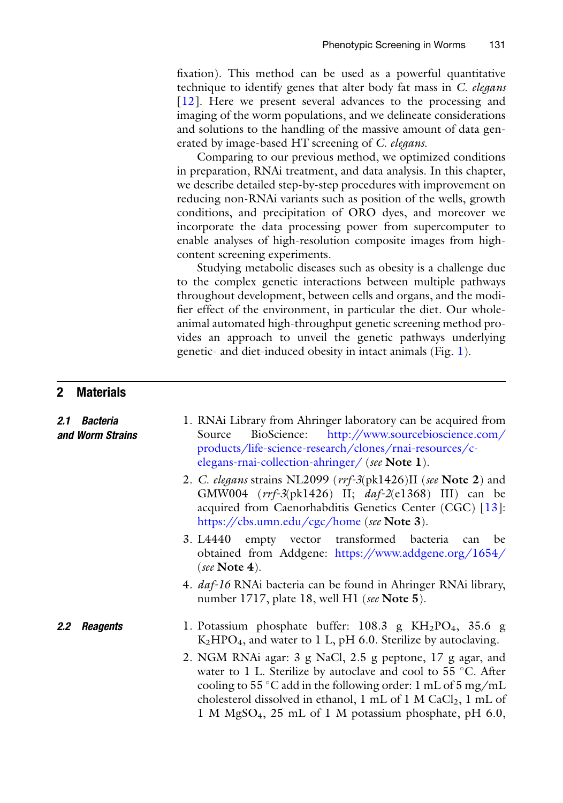fixation). This method can be used as a powerful quantitative technique to identify genes that alter body fat mass in C. elegans [12]. Here we present several advances to the processing and imaging of the worm populations, and we delineate considerations and solutions to the handling of the massive amount of data generated by image-based HT screening of C. *elegans*.

Comparing to our previous method, we optimized conditions in preparation, RNAi treatment, and data analysis. In this chapter, we describe detailed step-by-step procedures with improvement on reducing non-RNAi variants such as position of the wells, growth conditions, and precipitation of ORO dyes, and moreover we incorporate the data processing power from supercomputer to enable analyses of high-resolution composite images from highcontent screening experiments.

Studying metabolic diseases such as obesity is a challenge due to the complex genetic interactions between multiple pathways throughout development, between cells and organs, and the modifier effect of the environment, in particular the diet. Our wholeanimal automated high-throughput genetic screening method provides an approach to unveil the genetic pathways underlying genetic- and diet-induced obesity in intact animals (Fig. 1).

#### 2 Materials

| 2.1 Bacteria<br>and Worm Strains | 1. RNAi Library from Ahringer laboratory can be acquired from<br>BioScience: http://www.sourcebioscience.com/<br>Source<br>products/life-science-research/clones/rnai-resources/c-<br>elegans-rnai-collection-ahringer/ (see Note 1).                                                                                                                 |
|----------------------------------|-------------------------------------------------------------------------------------------------------------------------------------------------------------------------------------------------------------------------------------------------------------------------------------------------------------------------------------------------------|
|                                  | 2. C. elegans strains NL2099 (rrf-3(pk1426)II (see Note 2) and<br>GMW004 (rrf-3(pk1426) II; daf-2(e1368) III) can be<br>acquired from Caenorhabditis Genetics Center (CGC) [13]:<br>https://cbs.umn.edu/cgc/home (see Note 3).                                                                                                                        |
|                                  | 3. L4440 empty vector transformed bacteria<br>be<br>can<br>obtained from Addgene: https://www.addgene.org/1654/<br>(see Note 4).                                                                                                                                                                                                                      |
|                                  | 4. daf-16 RNAi bacteria can be found in Ahringer RNAi library,<br>number 1717, plate 18, well H1 (see Note 5).                                                                                                                                                                                                                                        |
| 2.2 Reagents                     | 1. Potassium phosphate buffer: 108.3 g KH <sub>2</sub> PO <sub>4</sub> , 35.6 g<br>$K_2HPO_4$ , and water to 1 L, pH 6.0. Sterilize by autoclaving.                                                                                                                                                                                                   |
|                                  | 2. NGM RNAi agar: 3 g NaCl, 2.5 g peptone, 17 g agar, and<br>water to 1 L. Sterilize by autoclave and cool to 55 °C. After<br>cooling to 55 $\degree$ C add in the following order: 1 mL of 5 mg/mL<br>cholesterol dissolved in ethanol, 1 mL of 1 M CaCl <sub>2</sub> , 1 mL of<br>1 M MgSO <sub>4</sub> , 25 mL of 1 M potassium phosphate, pH 6.0, |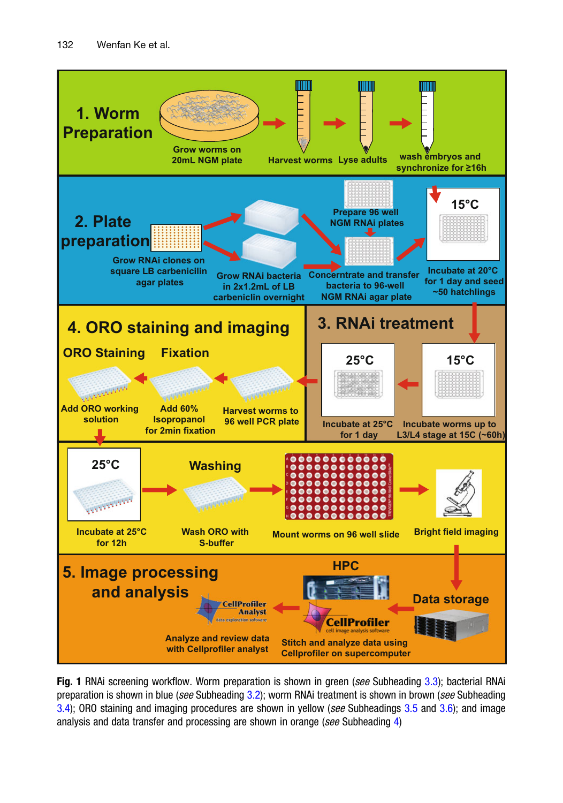

Fig. 1 RNAi screening workflow. Worm preparation is shown in green (see Subheading 3.3); bacterial RNAi preparation is shown in blue (see Subheading 3.2); worm RNAi treatment is shown in brown (see Subheading 3.4); ORO staining and imaging procedures are shown in yellow (see Subheadings 3.5 and 3.6); and image analysis and data transfer and processing are shown in orange (see Subheading 4)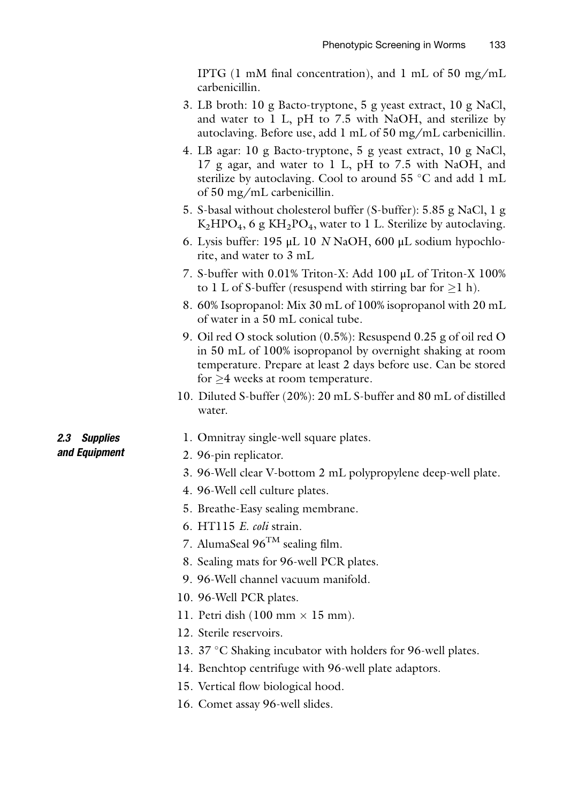IPTG (1 mM final concentration), and 1 mL of 50 mg/mL carbenicillin.

- 3. LB broth: 10 g Bacto-tryptone, 5 g yeast extract, 10 g NaCl, and water to 1 L, pH to 7.5 with NaOH, and sterilize by autoclaving. Before use, add 1 mL of 50 mg/mL carbenicillin.
- 4. LB agar: 10 g Bacto-tryptone, 5 g yeast extract, 10 g NaCl, 17 g agar, and water to 1 L, pH to 7.5 with NaOH, and sterilize by autoclaving. Cool to around  $55^{\circ}$ C and add 1 mL of 50 mg/mL carbenicillin.
- 5. S-basal without cholesterol buffer (S-buffer): 5.85 g NaCl, 1 g K<sub>2</sub>HPO<sub>4</sub>, 6 g KH<sub>2</sub>PO<sub>4</sub>, water to 1 L. Sterilize by autoclaving.
- 6. Lysis buffer: 195 μL 10 N NaOH, 600 μL sodium hypochlorite, and water to 3 mL
- 7. S-buffer with 0.01% Triton-X: Add 100 μL of Triton-X 100% to 1 L of S-buffer (resuspend with stirring bar for  $\geq 1$  h).
- 8. 60% Isopropanol: Mix 30 mL of 100% isopropanol with 20 mL of water in a 50 mL conical tube.
- 9. Oil red O stock solution (0.5%): Resuspend 0.25 g of oil red O in 50 mL of 100% isopropanol by overnight shaking at room temperature. Prepare at least 2 days before use. Can be stored for  $\geq$ 4 weeks at room temperature.
- 10. Diluted S-buffer (20%): 20 mL S-buffer and 80 mL of distilled water.
- 1. Omnitray single-well square plates.
- 2. 96-pin replicator.
- 3. 96-Well clear V-bottom 2 mL polypropylene deep-well plate.
- 4. 96-Well cell culture plates.
- 5. Breathe-Easy sealing membrane.
- 6. HT115 E. coli strain.
- 7. AlumaSeal  $96^{TM}$  sealing film.
- 8. Sealing mats for 96-well PCR plates.
- 9. 96-Well channel vacuum manifold.
- 10. 96-Well PCR plates.
- 11. Petri dish (100 mm  $\times$  15 mm).
- 12. Sterile reservoirs.
- 13. 37 °C Shaking incubator with holders for 96-well plates.
- 14. Benchtop centrifuge with 96-well plate adaptors.
- 15. Vertical flow biological hood.
- 16. Comet assay 96-well slides.

#### 2.3 Supplies and Equipment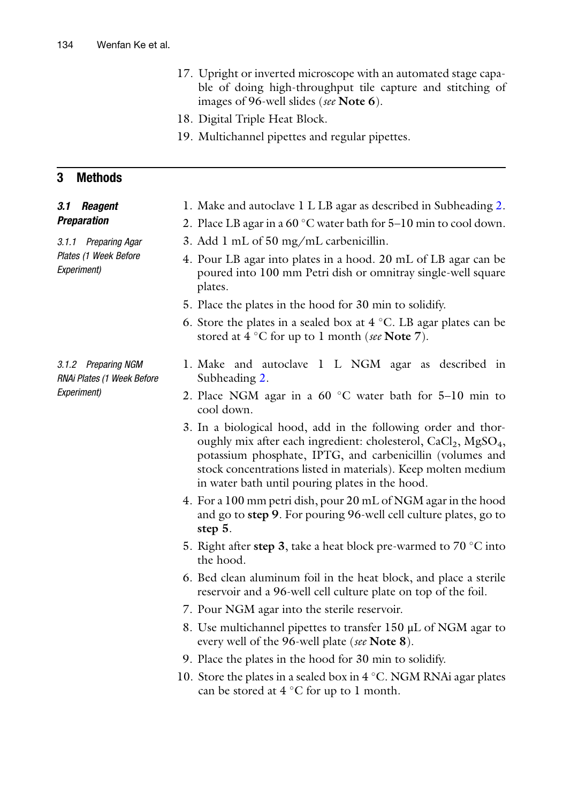17. Upright or inverted microscope with an automated stage capable of doing high-throughput tile capture and stitching of images of 96-well slides (see Note 6).

1. Make and autoclave 1 L LB agar as described in Subheading 2.

- 18. Digital Triple Heat Block.
- 19. Multichannel pipettes and regular pipettes.

## 3 Methods

3.1 Reagent

#### **Preparation** 3.1.1 Preparing Agar Plates (1 Week Before Experiment) 2. Place LB agar in a 60  $^{\circ}$ C water bath for 5–10 min to cool down. 3. Add 1 mL of 50 mg/mL carbenicillin. 4. Pour LB agar into plates in a hood. 20 mL of LB agar can be poured into 100 mm Petri dish or omnitray single-well square plates. 5. Place the plates in the hood for 30 min to solidify. 6. Store the plates in a sealed box at  $4^{\circ}$ C. LB agar plates can be stored at  $4^{\circ}$ C for up to 1 month (see Note 7). 3.1.2 Preparing NGM RNAi Plates (1 Week Before Experiment) 1. Make and autoclave 1 L NGM agar as described in Subheading 2. 2. Place NGM agar in a 60  $^{\circ}$ C water bath for 5–10 min to cool down. 3. In a biological hood, add in the following order and thoroughly mix after each ingredient: cholesterol,  $CaCl<sub>2</sub>$ ,  $MgSO<sub>4</sub>$ , potassium phosphate, IPTG, and carbenicillin (volumes and stock concentrations listed in materials). Keep molten medium in water bath until pouring plates in the hood. 4. For a 100 mm petri dish, pour 20 mL of NGM agar in the hood and go to step 9. For pouring 96-well cell culture plates, go to step 5. 5. Right after step 3, take a heat block pre-warmed to 70  $\mathrm{^{\circ}C}$  into the hood. 6. Bed clean aluminum foil in the heat block, and place a sterile reservoir and a 96-well cell culture plate on top of the foil.

- 7. Pour NGM agar into the sterile reservoir.
- 8. Use multichannel pipettes to transfer 150 μL of NGM agar to every well of the 96-well plate (see Note 8).
- 9. Place the plates in the hood for 30 min to solidify.
- 10. Store the plates in a sealed box in  $4^{\circ}$ C. NGM RNAi agar plates can be stored at  $4^{\circ}$ C for up to 1 month.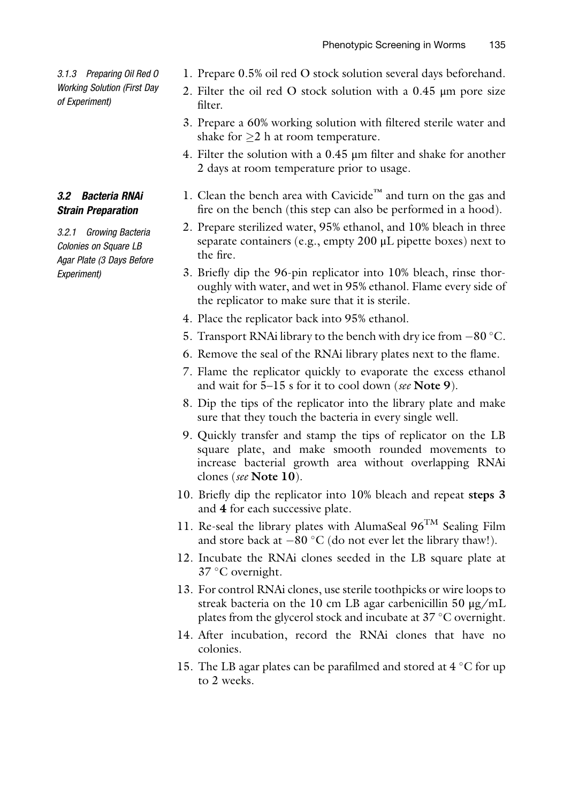3.1.3 Preparing Oil Red O Working Solution (First Day of Experiment)

#### 3.2 Bacteria RNAi Strain Preparation

3.2.1 Growing Bacteria Colonies on Square LB Agar Plate (3 Days Before Experiment)

- 1. Prepare 0.5% oil red O stock solution several days beforehand.
- 2. Filter the oil red O stock solution with a 0.45 μm pore size filter.
- 3. Prepare a 60% working solution with filtered sterile water and shake for  $\geq$  h at room temperature.
- 4. Filter the solution with a 0.45 μm filter and shake for another 2 days at room temperature prior to usage.
- 1. Clean the bench area with Cavicide™ and turn on the gas and fire on the bench (this step can also be performed in a hood).
- 2. Prepare sterilized water, 95% ethanol, and 10% bleach in three separate containers (e.g., empty 200 μL pipette boxes) next to the fire.
- 3. Briefly dip the 96-pin replicator into 10% bleach, rinse thoroughly with water, and wet in 95% ethanol. Flame every side of the replicator to make sure that it is sterile.
- 4. Place the replicator back into 95% ethanol.
- 5. Transport RNAi library to the bench with dry ice from  $-80$  °C.
- 6. Remove the seal of the RNAi library plates next to the flame.
- 7. Flame the replicator quickly to evaporate the excess ethanol and wait for  $5-15$  s for it to cool down (see Note 9).
- 8. Dip the tips of the replicator into the library plate and make sure that they touch the bacteria in every single well.
- 9. Quickly transfer and stamp the tips of replicator on the LB square plate, and make smooth rounded movements to increase bacterial growth area without overlapping RNAi clones (see Note 10).
- 10. Briefly dip the replicator into 10% bleach and repeat steps 3 and 4 for each successive plate.
- 11. Re-seal the library plates with AlumaSeal  $96^{TM}$  Sealing Film and store back at  $-80$  °C (do not ever let the library thaw!).
- 12. Incubate the RNAi clones seeded in the LB square plate at  $37^{\circ}$ C overnight.
- 13. For control RNAi clones, use sterile toothpicks or wire loops to streak bacteria on the 10 cm LB agar carbenicillin 50 μg/mL plates from the glycerol stock and incubate at  $37 \degree C$  overnight.
- 14. After incubation, record the RNAi clones that have no colonies.
- 15. The LB agar plates can be parafilmed and stored at  $4^{\circ}$ C for up to 2 weeks.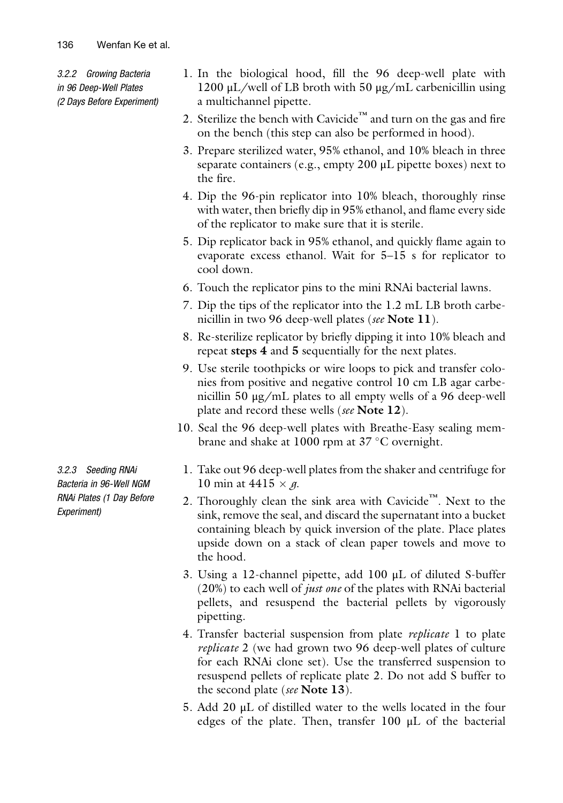3.2.2 Growing Bacteria in 96 Deep-Well Plates (2 Days Before Experiment)

- 1. In the biological hood, fill the 96 deep-well plate with 1200 μL/well of LB broth with 50 μg/mL carbenicillin using a multichannel pipette.
- 2. Sterilize the bench with Cavicide<sup>™</sup> and turn on the gas and fire on the bench (this step can also be performed in hood).
- 3. Prepare sterilized water, 95% ethanol, and 10% bleach in three separate containers (e.g., empty 200 μL pipette boxes) next to the fire.
- 4. Dip the 96-pin replicator into 10% bleach, thoroughly rinse with water, then briefly dip in 95% ethanol, and flame every side of the replicator to make sure that it is sterile.
- 5. Dip replicator back in 95% ethanol, and quickly flame again to evaporate excess ethanol. Wait for 5–15 s for replicator to cool down.
- 6. Touch the replicator pins to the mini RNAi bacterial lawns.
- 7. Dip the tips of the replicator into the 1.2 mL LB broth carbenicillin in two 96 deep-well plates (see Note 11).
- 8. Re-sterilize replicator by briefly dipping it into 10% bleach and repeat steps 4 and 5 sequentially for the next plates.
- 9. Use sterile toothpicks or wire loops to pick and transfer colonies from positive and negative control 10 cm LB agar carbenicillin 50 μg/mL plates to all empty wells of a 96 deep-well plate and record these wells (see Note 12).
- 10. Seal the 96 deep-well plates with Breathe-Easy sealing membrane and shake at 1000 rpm at  $37^{\circ}$ C overnight.
- 1. Take out 96 deep-well plates from the shaker and centrifuge for 10 min at  $4415 \times g$ .
- 2. Thoroughly clean the sink area with Cavicide™. Next to the sink, remove the seal, and discard the supernatant into a bucket containing bleach by quick inversion of the plate. Place plates upside down on a stack of clean paper towels and move to the hood.
- 3. Using a 12-channel pipette, add 100 μL of diluted S-buffer  $(20%)$  to each well of *just one* of the plates with RNAi bacterial pellets, and resuspend the bacterial pellets by vigorously pipetting.
- 4. Transfer bacterial suspension from plate *replicate* 1 to plate replicate 2 (we had grown two 96 deep-well plates of culture for each RNAi clone set). Use the transferred suspension to resuspend pellets of replicate plate 2. Do not add S buffer to the second plate (see Note 13).
- 5. Add 20 μL of distilled water to the wells located in the four edges of the plate. Then, transfer 100 μL of the bacterial

3.2.3 Seeding RNAi Bacteria in 96-Well NGM RNAi Plates (1 Day Before Experiment)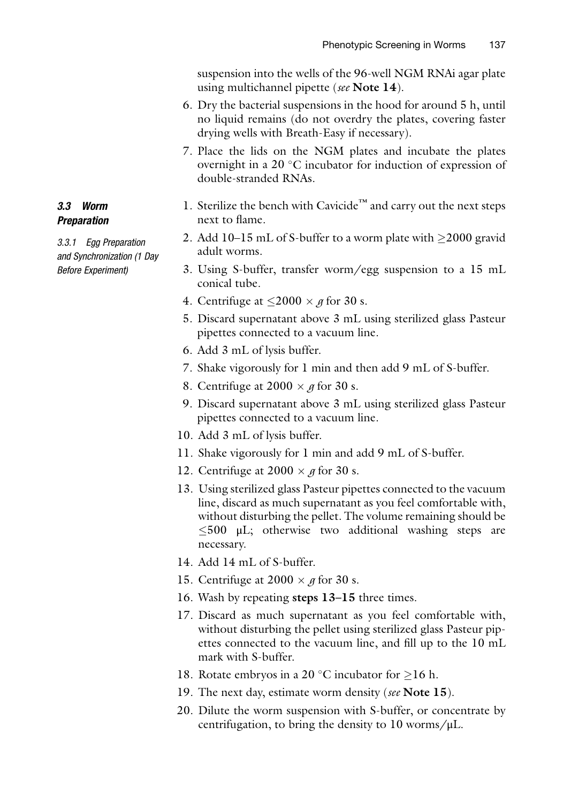suspension into the wells of the 96-well NGM RNAi agar plate using multichannel pipette (see Note 14).

- 6. Dry the bacterial suspensions in the hood for around 5 h, until no liquid remains (do not overdry the plates, covering faster drying wells with Breath-Easy if necessary).
- 7. Place the lids on the NGM plates and incubate the plates overnight in a 20 $\degree$ C incubator for induction of expression of double-stranded RNAs.
- 1. Sterilize the bench with Cavicide™ and carry out the next steps next to flame.
- 2. Add 10–15 mL of S-buffer to a worm plate with  $\geq$ 2000 gravid adult worms.
- 3. Using S-buffer, transfer worm/egg suspension to a 15 mL conical tube.
- 4. Centrifuge at  $\leq 2000 \times g$  for 30 s.
- 5. Discard supernatant above 3 mL using sterilized glass Pasteur pipettes connected to a vacuum line.
- 6. Add 3 mL of lysis buffer.
- 7. Shake vigorously for 1 min and then add 9 mL of S-buffer.
- 8. Centrifuge at 2000  $\times$  g for 30 s.
- 9. Discard supernatant above 3 mL using sterilized glass Pasteur pipettes connected to a vacuum line.
- 10. Add 3 mL of lysis buffer.
- 11. Shake vigorously for 1 min and add 9 mL of S-buffer.
- 12. Centrifuge at  $2000 \times g$  for 30 s.
- 13. Using sterilized glass Pasteur pipettes connected to the vacuum line, discard as much supernatant as you feel comfortable with, without disturbing the pellet. The volume remaining should be  $\leq 500$  μL; otherwise two additional washing steps are necessary.
- 14. Add 14 mL of S-buffer.
- 15. Centrifuge at 2000  $\times$   $\beta$  for 30 s.
- 16. Wash by repeating steps 13–15 three times.
- 17. Discard as much supernatant as you feel comfortable with, without disturbing the pellet using sterilized glass Pasteur pipettes connected to the vacuum line, and fill up to the 10 mL mark with S-buffer.
- 18. Rotate embryos in a 20 °C incubator for  $\geq$ 16 h.
- 19. The next day, estimate worm density (see **Note 15**).
- 20. Dilute the worm suspension with S-buffer, or concentrate by centrifugation, to bring the density to  $10$  worms/ $\mu$ L.

3.3 Worm Preparation

3.3.1 Egg Preparation and Synchronization (1 Day Before Experiment)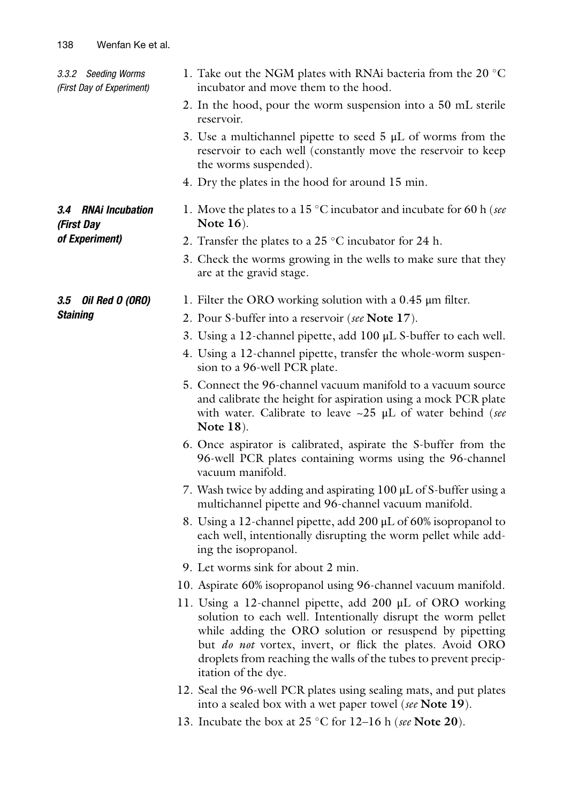| 3.3.2 Seeding Worms<br>(First Day of Experiment) | 1. Take out the NGM plates with RNAi bacteria from the 20 $^{\circ}$ C<br>incubator and move them to the hood.                                                                                                                                                                                                                                           |
|--------------------------------------------------|----------------------------------------------------------------------------------------------------------------------------------------------------------------------------------------------------------------------------------------------------------------------------------------------------------------------------------------------------------|
|                                                  | 2. In the hood, pour the worm suspension into a 50 mL sterile<br>reservoir.                                                                                                                                                                                                                                                                              |
|                                                  | 3. Use a multichannel pipette to seed $5 \mu L$ of worms from the<br>reservoir to each well (constantly move the reservoir to keep<br>the worms suspended).                                                                                                                                                                                              |
|                                                  | 4. Dry the plates in the hood for around 15 min.                                                                                                                                                                                                                                                                                                         |
| 3.4 RNAi Incubation<br>(First Day                | 1. Move the plates to a 15 $^{\circ}$ C incubator and incubate for 60 h (see<br>Note $16$ .                                                                                                                                                                                                                                                              |
| of Experiment)                                   | 2. Transfer the plates to a 25 $^{\circ}$ C incubator for 24 h.                                                                                                                                                                                                                                                                                          |
|                                                  | 3. Check the worms growing in the wells to make sure that they<br>are at the gravid stage.                                                                                                                                                                                                                                                               |
| Oil Red O (ORO)<br>3.5                           | 1. Filter the ORO working solution with a $0.45 \mu m$ filter.                                                                                                                                                                                                                                                                                           |
| <b>Staining</b>                                  | 2. Pour S-buffer into a reservoir (see Note 17).                                                                                                                                                                                                                                                                                                         |
|                                                  | 3. Using a 12-channel pipette, add 100 µL S-buffer to each well.                                                                                                                                                                                                                                                                                         |
|                                                  | 4. Using a 12-channel pipette, transfer the whole-worm suspen-<br>sion to a 96-well PCR plate.                                                                                                                                                                                                                                                           |
|                                                  | 5. Connect the 96-channel vacuum manifold to a vacuum source<br>and calibrate the height for aspiration using a mock PCR plate<br>with water. Calibrate to leave $\sim$ 25 µL of water behind (see<br><b>Note 18</b> ).                                                                                                                                  |
|                                                  | 6. Once aspirator is calibrated, aspirate the S-buffer from the<br>96-well PCR plates containing worms using the 96-channel<br>vacuum manifold.                                                                                                                                                                                                          |
|                                                  | 7. Wash twice by adding and aspirating $100 \mu L$ of S-buffer using a<br>multichannel pipette and 96-channel vacuum manifold.                                                                                                                                                                                                                           |
|                                                  | 8. Using a 12-channel pipette, add 200 µL of 60% isopropanol to<br>each well, intentionally disrupting the worm pellet while add-<br>ing the isopropanol.                                                                                                                                                                                                |
|                                                  | 9. Let worms sink for about 2 min.                                                                                                                                                                                                                                                                                                                       |
|                                                  | 10. Aspirate 60% isopropanol using 96-channel vacuum manifold.                                                                                                                                                                                                                                                                                           |
|                                                  | 11. Using a 12-channel pipette, add $200 \mu L$ of ORO working<br>solution to each well. Intentionally disrupt the worm pellet<br>while adding the ORO solution or resuspend by pipetting<br>but <i>do not</i> vortex, invert, or flick the plates. Avoid ORO<br>droplets from reaching the walls of the tubes to prevent precip-<br>itation of the dye. |
|                                                  | 12. Seal the 96-well PCR plates using sealing mats, and put plates<br>into a sealed box with a wet paper towel (see Note 19).                                                                                                                                                                                                                            |
|                                                  | 13. Incubate the box at 25 $\degree$ C for 12–16 h (see Note 20).                                                                                                                                                                                                                                                                                        |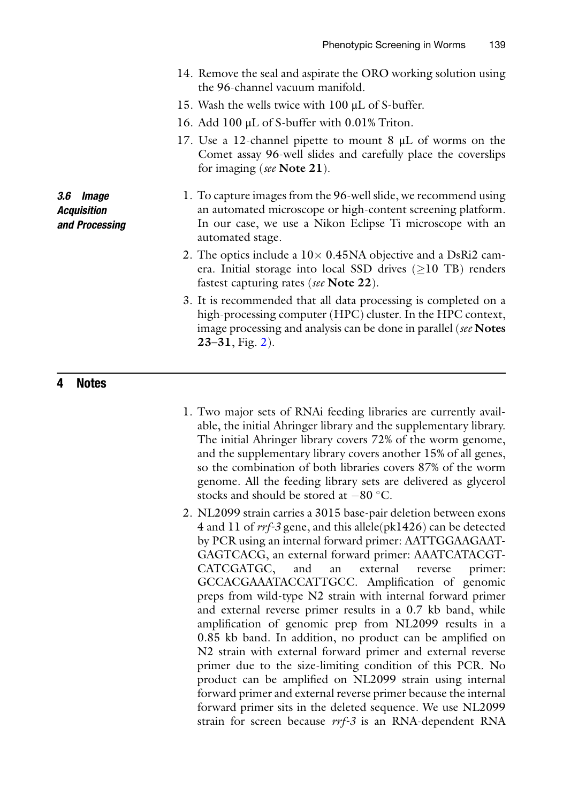- 14. Remove the seal and aspirate the ORO working solution using the 96-channel vacuum manifold.
- 15. Wash the wells twice with 100 μL of S-buffer.
- 16. Add 100 μL of S-buffer with 0.01% Triton.
- 17. Use a 12-channel pipette to mount 8 μL of worms on the Comet assay 96-well slides and carefully place the coverslips for imaging (see Note 21).
- 1. To capture images from the 96-well slide, we recommend using an automated microscope or high-content screening platform. In our case, we use a Nikon Eclipse Ti microscope with an automated stage.
	- 2. The optics include a  $10 \times 0.45$ NA objective and a DsRi2 camera. Initial storage into local SSD drives  $(\geq 10$  TB) renders fastest capturing rates (see Note 22).
	- 3. It is recommended that all data processing is completed on a high-processing computer (HPC) cluster. In the HPC context, image processing and analysis can be done in parallel (see Notes  $23-31$ , Fig. 2).

#### 4 Notes

- 1. Two major sets of RNAi feeding libraries are currently available, the initial Ahringer library and the supplementary library. The initial Ahringer library covers 72% of the worm genome, and the supplementary library covers another 15% of all genes, so the combination of both libraries covers 87% of the worm genome. All the feeding library sets are delivered as glycerol stocks and should be stored at  $-80$  °C.
- 2. NL2099 strain carries a 3015 base-pair deletion between exons 4 and 11 of rrf-3 gene, and this allele(pk1426) can be detected by PCR using an internal forward primer: AATTGGAAGAAT-GAGTCACG, an external forward primer: AAATCATACGT-CATCGATGC, and an external reverse primer: GCCACGAAATACCATTGCC. Amplification of genomic preps from wild-type N2 strain with internal forward primer and external reverse primer results in a 0.7 kb band, while amplification of genomic prep from NL2099 results in a 0.85 kb band. In addition, no product can be amplified on N2 strain with external forward primer and external reverse primer due to the size-limiting condition of this PCR. No product can be amplified on NL2099 strain using internal forward primer and external reverse primer because the internal forward primer sits in the deleted sequence. We use NL2099 strain for screen because rrf-3 is an RNA-dependent RNA

3.6 Image **Acquisition** and Processing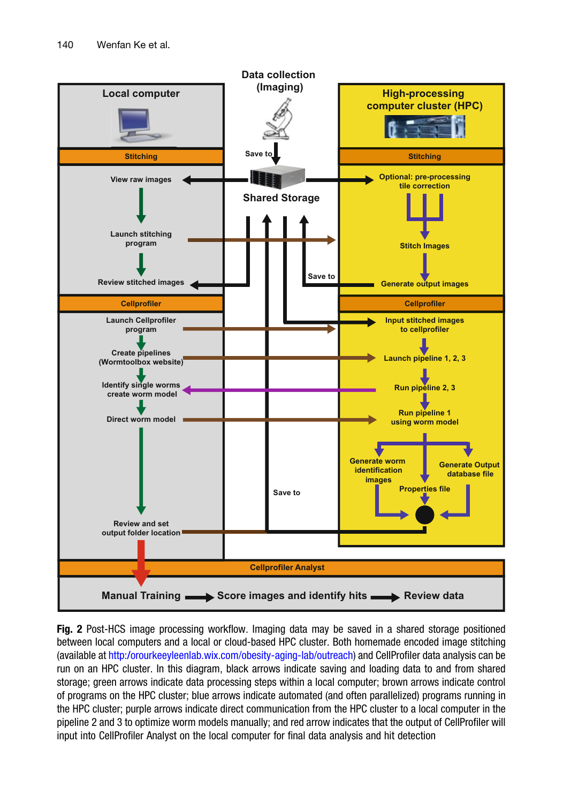

Fig. 2 Post-HCS image processing workflow. Imaging data may be saved in a shared storage positioned between local computers and a local or cloud-based HPC cluster. Both homemade encoded image stitching (available at [http:/orourkeeyleenlab.wix.com/obesity-aging-lab/outreach\)](http://orourkeeyleenlab.wix.com/obesity-aging-lab/outreach) and CellProfiler data analysis can be run on an HPC cluster. In this diagram, black arrows indicate saving and loading data to and from shared storage; green arrows indicate data processing steps within a local computer; brown arrows indicate control of programs on the HPC cluster; blue arrows indicate automated (and often parallelized) programs running in the HPC cluster; purple arrows indicate direct communication from the HPC cluster to a local computer in the pipeline 2 and 3 to optimize worm models manually; and red arrow indicates that the output of CellProfiler will input into CellProfiler Analyst on the local computer for final data analysis and hit detection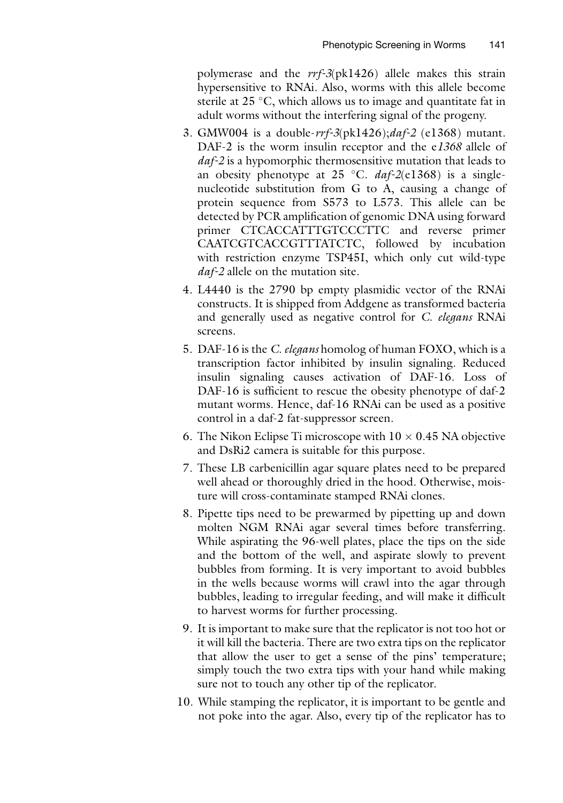polymerase and the rrf-3(pk1426) allele makes this strain hypersensitive to RNAi. Also, worms with this allele become sterile at  $25 \text{ °C}$ , which allows us to image and quantitate fat in adult worms without the interfering signal of the progeny.

- 3. GMW004 is a double- $rrf$ -3(pk1426); *daf*-2 (e1368) mutant. DAF-2 is the worm insulin receptor and the e1368 allele of daf-2 is a hypomorphic thermosensitive mutation that leads to an obesity phenotype at 25 °C.  $\text{d}af-2$ (e1368) is a singlenucleotide substitution from G to A, causing a change of protein sequence from S573 to L573. This allele can be detected by PCR amplification of genomic DNA using forward primer CTCACCATTTGTCCCTTC and reverse primer CAATCGTCACCGTTTATCTC, followed by incubation with restriction enzyme TSP45I, which only cut wild-type daf-2 allele on the mutation site.
- 4. L4440 is the 2790 bp empty plasmidic vector of the RNAi constructs. It is shipped from Addgene as transformed bacteria and generally used as negative control for C. elegans RNAi screens.
- 5. DAF-16 is the C. elegans homolog of human FOXO, which is a transcription factor inhibited by insulin signaling. Reduced insulin signaling causes activation of DAF-16. Loss of DAF-16 is sufficient to rescue the obesity phenotype of daf-2 mutant worms. Hence, daf-16 RNAi can be used as a positive control in a daf-2 fat-suppressor screen.
- 6. The Nikon Eclipse Ti microscope with  $10 \times 0.45$  NA objective and DsRi2 camera is suitable for this purpose.
- 7. These LB carbenicillin agar square plates need to be prepared well ahead or thoroughly dried in the hood. Otherwise, moisture will cross-contaminate stamped RNAi clones.
- 8. Pipette tips need to be prewarmed by pipetting up and down molten NGM RNAi agar several times before transferring. While aspirating the 96-well plates, place the tips on the side and the bottom of the well, and aspirate slowly to prevent bubbles from forming. It is very important to avoid bubbles in the wells because worms will crawl into the agar through bubbles, leading to irregular feeding, and will make it difficult to harvest worms for further processing.
- 9. It is important to make sure that the replicator is not too hot or it will kill the bacteria. There are two extra tips on the replicator that allow the user to get a sense of the pins' temperature; simply touch the two extra tips with your hand while making sure not to touch any other tip of the replicator.
- 10. While stamping the replicator, it is important to be gentle and not poke into the agar. Also, every tip of the replicator has to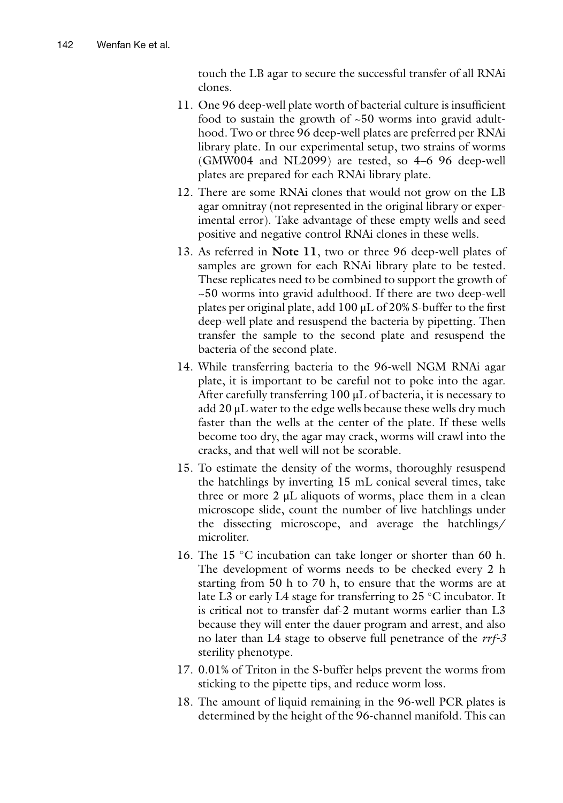touch the LB agar to secure the successful transfer of all RNAi clones.

- 11. One 96 deep-well plate worth of bacterial culture is insufficient food to sustain the growth of  $~50$  worms into gravid adulthood. Two or three 96 deep-well plates are preferred per RNAi library plate. In our experimental setup, two strains of worms (GMW004 and NL2099) are tested, so 4–6 96 deep-well plates are prepared for each RNAi library plate.
- 12. There are some RNAi clones that would not grow on the LB agar omnitray (not represented in the original library or experimental error). Take advantage of these empty wells and seed positive and negative control RNAi clones in these wells.
- 13. As referred in Note 11, two or three 96 deep-well plates of samples are grown for each RNAi library plate to be tested. These replicates need to be combined to support the growth of ~50 worms into gravid adulthood. If there are two deep-well plates per original plate, add 100 μL of 20% S-buffer to the first deep-well plate and resuspend the bacteria by pipetting. Then transfer the sample to the second plate and resuspend the bacteria of the second plate.
- 14. While transferring bacteria to the 96-well NGM RNAi agar plate, it is important to be careful not to poke into the agar. After carefully transferring 100 μL of bacteria, it is necessary to add 20 μL water to the edge wells because these wells dry much faster than the wells at the center of the plate. If these wells become too dry, the agar may crack, worms will crawl into the cracks, and that well will not be scorable.
- 15. To estimate the density of the worms, thoroughly resuspend the hatchlings by inverting 15 mL conical several times, take three or more 2 μL aliquots of worms, place them in a clean microscope slide, count the number of live hatchlings under the dissecting microscope, and average the hatchlings/ microliter.
- 16. The 15  $\degree$ C incubation can take longer or shorter than 60 h. The development of worms needs to be checked every 2 h starting from 50 h to 70 h, to ensure that the worms are at late L3 or early L4 stage for transferring to  $25^{\circ}$ C incubator. It is critical not to transfer daf-2 mutant worms earlier than L3 because they will enter the dauer program and arrest, and also no later than L4 stage to observe full penetrance of the  $rrf-3$ sterility phenotype.
- 17. 0.01% of Triton in the S-buffer helps prevent the worms from sticking to the pipette tips, and reduce worm loss.
- 18. The amount of liquid remaining in the 96-well PCR plates is determined by the height of the 96-channel manifold. This can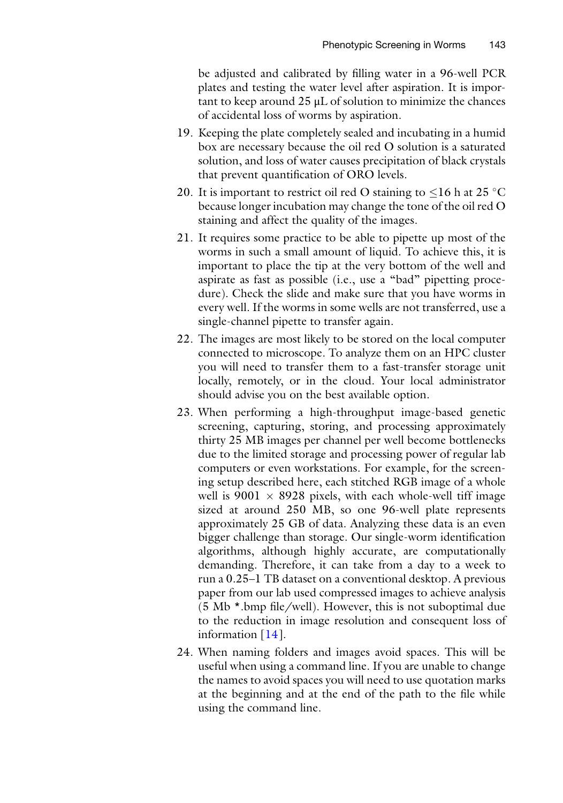be adjusted and calibrated by filling water in a 96-well PCR plates and testing the water level after aspiration. It is important to keep around  $25 \mu L$  of solution to minimize the chances of accidental loss of worms by aspiration.

- 19. Keeping the plate completely sealed and incubating in a humid box are necessary because the oil red O solution is a saturated solution, and loss of water causes precipitation of black crystals that prevent quantification of ORO levels.
- 20. It is important to restrict oil red O staining to  $\leq$ 16 h at 25 °C because longer incubation may change the tone of the oil red O staining and affect the quality of the images.
- 21. It requires some practice to be able to pipette up most of the worms in such a small amount of liquid. To achieve this, it is important to place the tip at the very bottom of the well and aspirate as fast as possible (i.e., use a "bad" pipetting procedure). Check the slide and make sure that you have worms in every well. If the worms in some wells are not transferred, use a single-channel pipette to transfer again.
- 22. The images are most likely to be stored on the local computer connected to microscope. To analyze them on an HPC cluster you will need to transfer them to a fast-transfer storage unit locally, remotely, or in the cloud. Your local administrator should advise you on the best available option.
- 23. When performing a high-throughput image-based genetic screening, capturing, storing, and processing approximately thirty 25 MB images per channel per well become bottlenecks due to the limited storage and processing power of regular lab computers or even workstations. For example, for the screening setup described here, each stitched RGB image of a whole well is  $9001 \times 8928$  pixels, with each whole-well tiff image sized at around 250 MB, so one 96-well plate represents approximately 25 GB of data. Analyzing these data is an even bigger challenge than storage. Our single-worm identification algorithms, although highly accurate, are computationally demanding. Therefore, it can take from a day to a week to run a 0.25–1 TB dataset on a conventional desktop. A previous paper from our lab used compressed images to achieve analysis (5 Mb \*.bmp file/well). However, this is not suboptimal due to the reduction in image resolution and consequent loss of information [14].
- 24. When naming folders and images avoid spaces. This will be useful when using a command line. If you are unable to change the names to avoid spaces you will need to use quotation marks at the beginning and at the end of the path to the file while using the command line.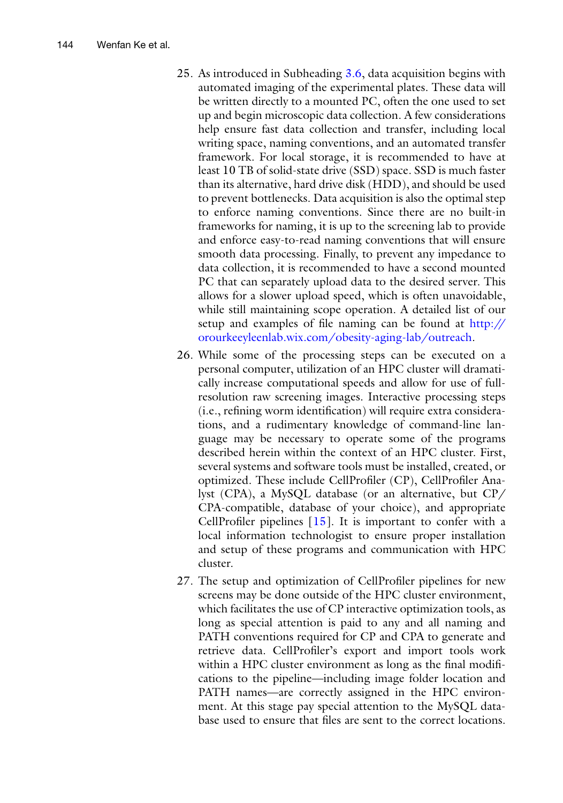- 25. As introduced in Subheading 3.6, data acquisition begins with automated imaging of the experimental plates. These data will be written directly to a mounted PC, often the one used to set up and begin microscopic data collection. A few considerations help ensure fast data collection and transfer, including local writing space, naming conventions, and an automated transfer framework. For local storage, it is recommended to have at least 10 TB of solid-state drive (SSD) space. SSD is much faster than its alternative, hard drive disk (HDD), and should be used to prevent bottlenecks. Data acquisition is also the optimal step to enforce naming conventions. Since there are no built-in frameworks for naming, it is up to the screening lab to provide and enforce easy-to-read naming conventions that will ensure smooth data processing. Finally, to prevent any impedance to data collection, it is recommended to have a second mounted PC that can separately upload data to the desired server. This allows for a slower upload speed, which is often unavoidable, while still maintaining scope operation. A detailed list of our setup and examples of file naming can be found at [http://](http://orourkeeyleenlab.wix.com/obesity-aging-lab/outreach) [orourkeeyleenlab.wix.com/obesity-aging-lab/outreach](http://orourkeeyleenlab.wix.com/obesity-aging-lab/outreach).
- 26. While some of the processing steps can be executed on a personal computer, utilization of an HPC cluster will dramatically increase computational speeds and allow for use of fullresolution raw screening images. Interactive processing steps (i.e., refining worm identification) will require extra considerations, and a rudimentary knowledge of command-line language may be necessary to operate some of the programs described herein within the context of an HPC cluster. First, several systems and software tools must be installed, created, or optimized. These include CellProfiler (CP), CellProfiler Analyst (CPA), a MySQL database (or an alternative, but CP/ CPA-compatible, database of your choice), and appropriate CellProfiler pipelines [15]. It is important to confer with a local information technologist to ensure proper installation and setup of these programs and communication with HPC cluster.
- 27. The setup and optimization of CellProfiler pipelines for new screens may be done outside of the HPC cluster environment, which facilitates the use of CP interactive optimization tools, as long as special attention is paid to any and all naming and PATH conventions required for CP and CPA to generate and retrieve data. CellProfiler's export and import tools work within a HPC cluster environment as long as the final modifications to the pipeline—including image folder location and PATH names—are correctly assigned in the HPC environment. At this stage pay special attention to the MySQL database used to ensure that files are sent to the correct locations.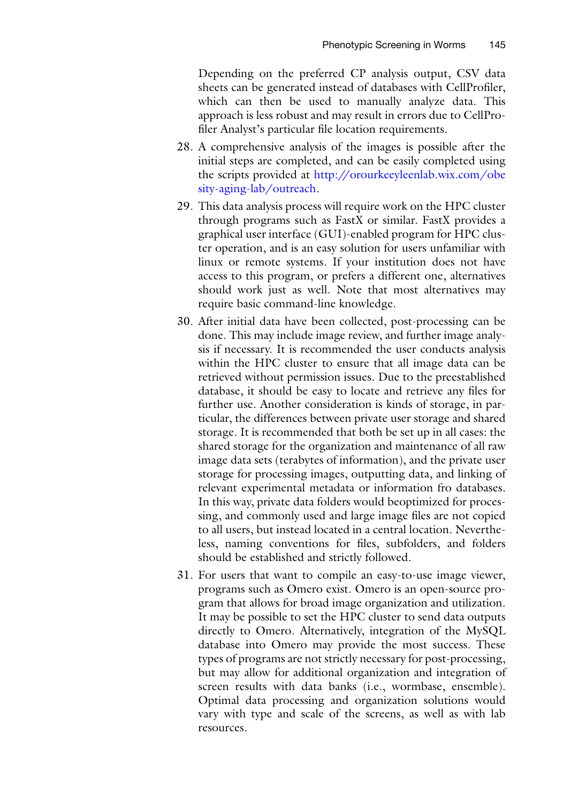Depending on the preferred CP analysis output, CSV data sheets can be generated instead of databases with CellProfiler, which can then be used to manually analyze data. This approach is less robust and may result in errors due to CellProfiler Analyst's particular file location requirements.

- 28. A comprehensive analysis of the images is possible after the initial steps are completed, and can be easily completed using the scripts provided at [http://orourkeeyleenlab.wix.com/obe](http://orourkeeyleenlab.wix.com/obesity-aging-lab/outreach) [sity-aging-lab/outreach.](http://orourkeeyleenlab.wix.com/obesity-aging-lab/outreach)
- 29. This data analysis process will require work on the HPC cluster through programs such as FastX or similar. FastX provides a graphical user interface (GUI)-enabled program for HPC cluster operation, and is an easy solution for users unfamiliar with linux or remote systems. If your institution does not have access to this program, or prefers a different one, alternatives should work just as well. Note that most alternatives may require basic command-line knowledge.
- 30. After initial data have been collected, post-processing can be done. This may include image review, and further image analysis if necessary. It is recommended the user conducts analysis within the HPC cluster to ensure that all image data can be retrieved without permission issues. Due to the preestablished database, it should be easy to locate and retrieve any files for further use. Another consideration is kinds of storage, in particular, the differences between private user storage and shared storage. It is recommended that both be set up in all cases: the shared storage for the organization and maintenance of all raw image data sets (terabytes of information), and the private user storage for processing images, outputting data, and linking of relevant experimental metadata or information fro databases. In this way, private data folders would beoptimized for processing, and commonly used and large image files are not copied to all users, but instead located in a central location. Nevertheless, naming conventions for files, subfolders, and folders should be established and strictly followed.
- 31. For users that want to compile an easy-to-use image viewer, programs such as Omero exist. Omero is an open-source program that allows for broad image organization and utilization. It may be possible to set the HPC cluster to send data outputs directly to Omero. Alternatively, integration of the MySQL database into Omero may provide the most success. These types of programs are not strictly necessary for post-processing, but may allow for additional organization and integration of screen results with data banks (i.e., wormbase, ensemble). Optimal data processing and organization solutions would vary with type and scale of the screens, as well as with lab resources.